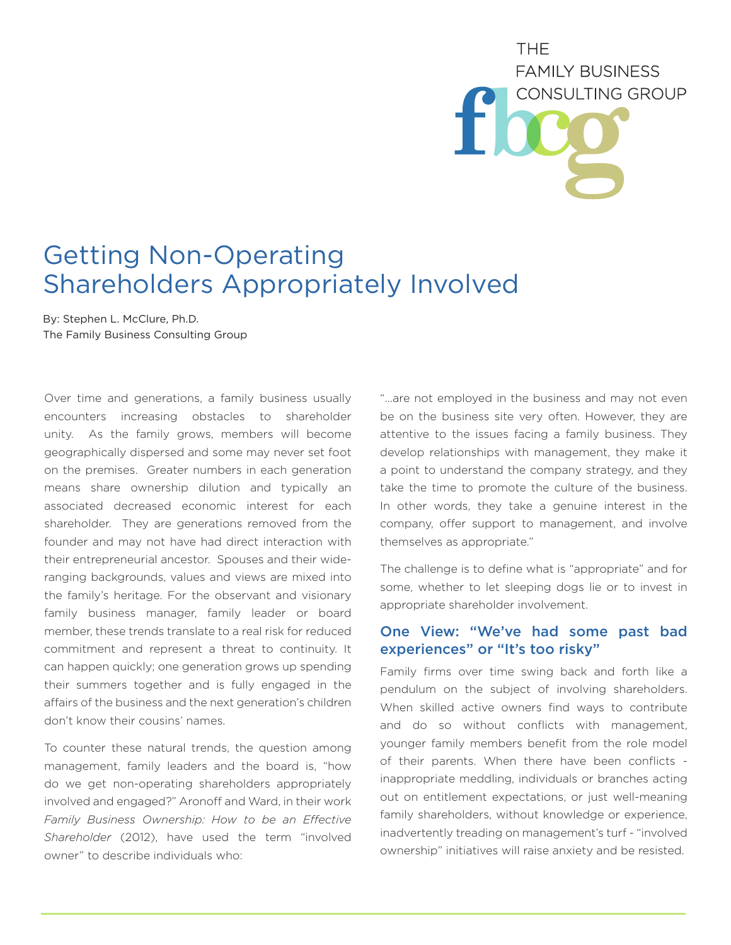# **THF FAMILY BUSINESS** CONSULTING GROUP

# Getting Non-Operating Shareholders Appropriately Involved

By: Stephen L. McClure, Ph.D. The Family Business Consulting Group

Over time and generations, a family business usually encounters increasing obstacles to shareholder unity. As the family grows, members will become geographically dispersed and some may never set foot on the premises. Greater numbers in each generation means share ownership dilution and typically an associated decreased economic interest for each shareholder. They are generations removed from the founder and may not have had direct interaction with their entrepreneurial ancestor. Spouses and their wideranging backgrounds, values and views are mixed into the family's heritage. For the observant and visionary family business manager, family leader or board member, these trends translate to a real risk for reduced commitment and represent a threat to continuity. It can happen quickly; one generation grows up spending their summers together and is fully engaged in the affairs of the business and the next generation's children don't know their cousins' names.

To counter these natural trends, the question among management, family leaders and the board is, "how do we get non-operating shareholders appropriately involved and engaged?" Aronoff and Ward, in their work *Family Business Ownership: How to be an Effective Shareholder* (2012), have used the term "involved owner" to describe individuals who:

"...are not employed in the business and may not even be on the business site very often. However, they are attentive to the issues facing a family business. They develop relationships with management, they make it a point to understand the company strategy, and they take the time to promote the culture of the business. In other words, they take a genuine interest in the company, offer support to management, and involve themselves as appropriate."

The challenge is to define what is "appropriate" and for some, whether to let sleeping dogs lie or to invest in appropriate shareholder involvement.

# One View: "We've had some past bad experiences" or "It's too risky"

Family firms over time swing back and forth like a pendulum on the subject of involving shareholders. When skilled active owners find ways to contribute and do so without conflicts with management, younger family members benefit from the role model of their parents. When there have been conflicts inappropriate meddling, individuals or branches acting out on entitlement expectations, or just well-meaning family shareholders, without knowledge or experience, inadvertently treading on management's turf - "involved ownership" initiatives will raise anxiety and be resisted.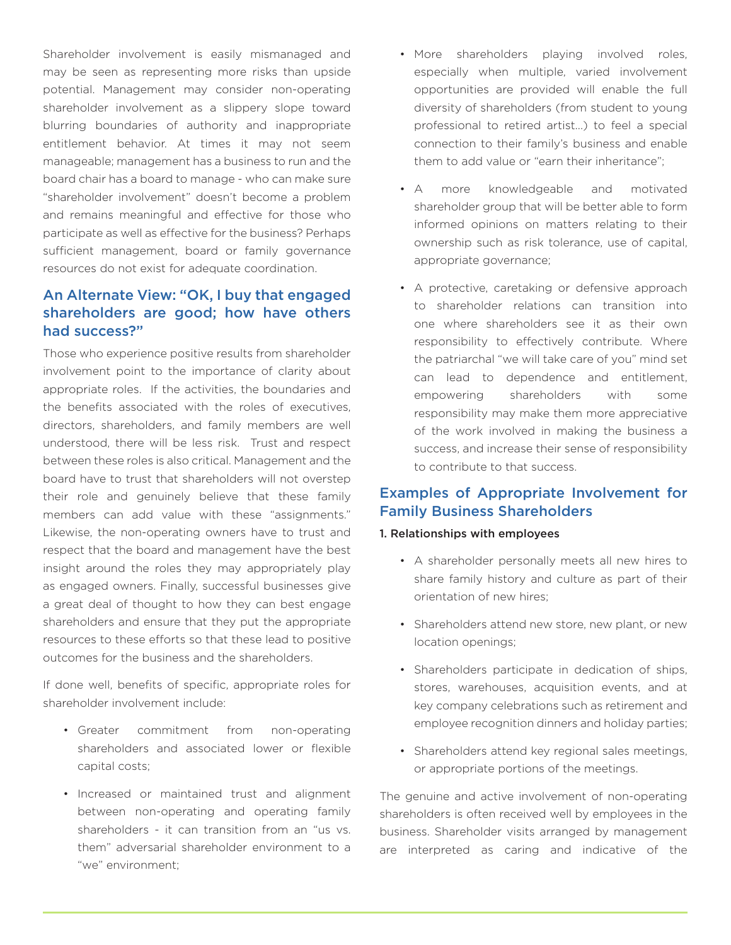Shareholder involvement is easily mismanaged and may be seen as representing more risks than upside potential. Management may consider non-operating shareholder involvement as a slippery slope toward blurring boundaries of authority and inappropriate entitlement behavior. At times it may not seem manageable; management has a business to run and the board chair has a board to manage - who can make sure "shareholder involvement" doesn't become a problem and remains meaningful and effective for those who participate as well as effective for the business? Perhaps sufficient management, board or family governance resources do not exist for adequate coordination.

# An Alternate View: "OK, I buy that engaged shareholders are good; how have others had success?"

Those who experience positive results from shareholder involvement point to the importance of clarity about appropriate roles. If the activities, the boundaries and the benefits associated with the roles of executives, directors, shareholders, and family members are well understood, there will be less risk. Trust and respect between these roles is also critical. Management and the board have to trust that shareholders will not overstep their role and genuinely believe that these family members can add value with these "assignments." Likewise, the non-operating owners have to trust and respect that the board and management have the best insight around the roles they may appropriately play as engaged owners. Finally, successful businesses give a great deal of thought to how they can best engage shareholders and ensure that they put the appropriate resources to these efforts so that these lead to positive outcomes for the business and the shareholders.

If done well, benefits of specific, appropriate roles for shareholder involvement include:

- Greater commitment from non-operating shareholders and associated lower or flexible capital costs;
- Increased or maintained trust and alignment between non-operating and operating family shareholders - it can transition from an "us vs. them" adversarial shareholder environment to a "we" environment;
- More shareholders playing involved roles, especially when multiple, varied involvement opportunities are provided will enable the full diversity of shareholders (from student to young professional to retired artist...) to feel a special connection to their family's business and enable them to add value or "earn their inheritance";
- A more knowledgeable and motivated shareholder group that will be better able to form informed opinions on matters relating to their ownership such as risk tolerance, use of capital, appropriate governance;
- A protective, caretaking or defensive approach to shareholder relations can transition into one where shareholders see it as their own responsibility to effectively contribute. Where the patriarchal "we will take care of you" mind set can lead to dependence and entitlement, empowering shareholders with some responsibility may make them more appreciative of the work involved in making the business a success, and increase their sense of responsibility to contribute to that success.

# Examples of Appropriate Involvement for Family Business Shareholders

#### 1. Relationships with employees

- A shareholder personally meets all new hires to share family history and culture as part of their orientation of new hires;
- Shareholders attend new store, new plant, or new location openings;
- Shareholders participate in dedication of ships, stores, warehouses, acquisition events, and at key company celebrations such as retirement and employee recognition dinners and holiday parties;
- Shareholders attend key regional sales meetings, or appropriate portions of the meetings.

The genuine and active involvement of non-operating shareholders is often received well by employees in the business. Shareholder visits arranged by management are interpreted as caring and indicative of the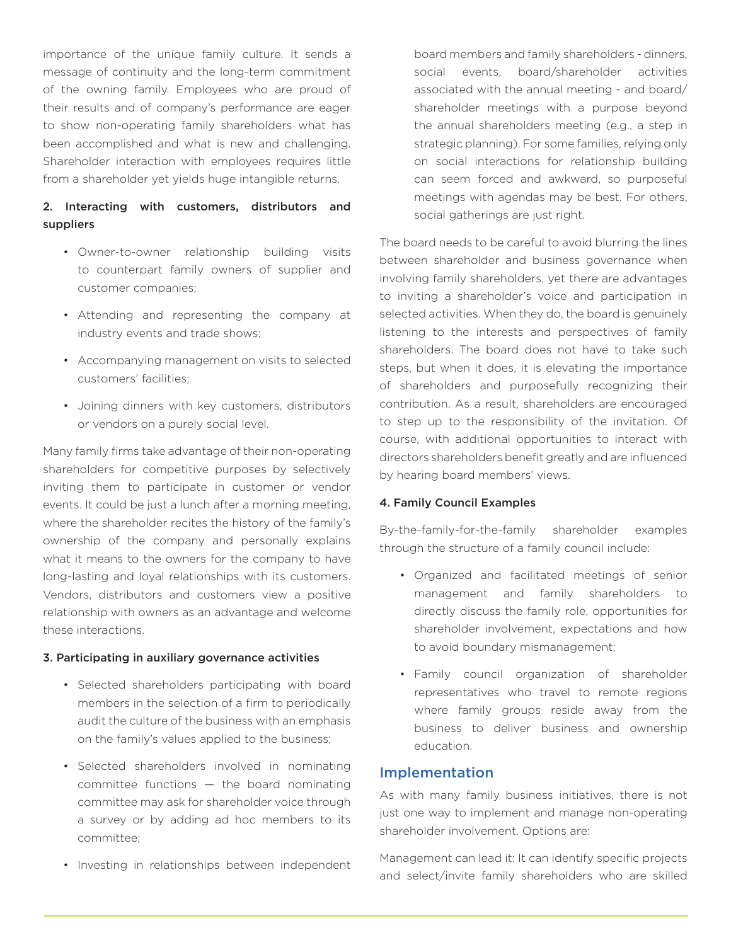importance of the unique family culture. It sends a message of continuity and the long-term commitment of the owning family. Employees who are proud of their results and of company's performance are eager to show non-operating family shareholders what has been accomplished and what is new and challenging. Shareholder interaction with employees requires little from a shareholder yet yields huge intangible returns.

## 2. Interacting with customers, distributors and suppliers

- Owner-to-owner relationship building visits to counterpart family owners of supplier and customer companies;
- Attending and representing the company at industry events and trade shows;
- Accompanying management on visits to selected customers' facilities;
- Joining dinners with key customers, distributors or vendors on a purely social level.

Many family firms take advantage of their non-operating shareholders for competitive purposes by selectively inviting them to participate in customer or vendor events. It could be just a lunch after a morning meeting, where the shareholder recites the history of the family's ownership of the company and personally explains what it means to the owners for the company to have long-lasting and loyal relationships with its customers. Vendors, distributors and customers view a positive relationship with owners as an advantage and welcome these interactions.

#### 3. Participating in auxiliary governance activities

- Selected shareholders participating with board members in the selection of a firm to periodically audit the culture of the business with an emphasis on the family's values applied to the business;
- Selected shareholders involved in nominating committee functions — the board nominating committee may ask for shareholder voice through a survey or by adding ad hoc members to its committee;
- Investing in relationships between independent

board members and family shareholders - dinners, social events, board/shareholder activities associated with the annual meeting - and board/ shareholder meetings with a purpose beyond the annual shareholders meeting (e.g., a step in strategic planning). For some families, relying only on social interactions for relationship building can seem forced and awkward, so purposeful meetings with agendas may be best. For others, social gatherings are just right.

The board needs to be careful to avoid blurring the lines between shareholder and business governance when involving family shareholders, yet there are advantages to inviting a shareholder's voice and participation in selected activities. When they do, the board is genuinely listening to the interests and perspectives of family shareholders. The board does not have to take such steps, but when it does, it is elevating the importance of shareholders and purposefully recognizing their contribution. As a result, shareholders are encouraged to step up to the responsibility of the invitation. Of course, with additional opportunities to interact with directors shareholders benefit greatly and are influenced by hearing board members' views.

#### 4. Family Council Examples

By-the-family-for-the-family shareholder examples through the structure of a family council include:

- Organized and facilitated meetings of senior management and family shareholders to directly discuss the family role, opportunities for shareholder involvement, expectations and how to avoid boundary mismanagement;
- Family council organization of shareholder representatives who travel to remote regions where family groups reside away from the business to deliver business and ownership education.

### Implementation

As with many family business initiatives, there is not just one way to implement and manage non-operating shareholder involvement. Options are:

Management can lead it: It can identify specific projects and select/invite family shareholders who are skilled